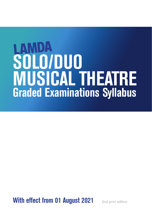# **SOLO/DUO MUSICAL THEATRE Graded Examinations Syllabus**

**With effect from 01 August 2021** 2nd print edition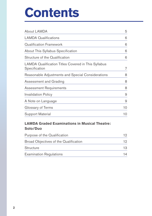## **Contents**

| About LAMDA                                                          | 5  |
|----------------------------------------------------------------------|----|
| <b>LAMDA Qualifications</b>                                          | 6  |
| <b>Qualification Framework</b>                                       | 6  |
| About This Syllabus Specification                                    | 6  |
| Structure of the Qualification                                       | 6  |
| LAMDA Qualification Titles Covered in This Syllabus<br>Specification | 7  |
| Reasonable Adjustments and Special Considerations                    | 8  |
| Assessment and Grading                                               | 8  |
| <b>Assessment Requirements</b>                                       | 8  |
| <b>Invalidation Policy</b>                                           | 9  |
| A Note on Language                                                   | 9  |
| Glossary of Terms                                                    | 10 |
| <b>Support Material</b>                                              | 10 |

## **LAMDA Graded Examinations in Musical Theatre: Solo/Duo**

| Purpose of the Qualification          |    |
|---------------------------------------|----|
| Broad Objectives of the Qualification | 12 |
| <b>Structure</b>                      | 13 |
| <b>Examination Regulations</b>        | 14 |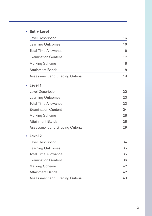## 4 **Entry Level**

| <b>Level Description</b>        | 16 |
|---------------------------------|----|
| <b>Learning Outcomes</b>        | 16 |
| Total Time Allowance            | 16 |
| <b>Examination Content</b>      | 17 |
| <b>Marking Scheme</b>           | 18 |
| <b>Attainment Bands</b>         | 18 |
| Assessment and Grading Criteria | 19 |

## 4 **Level 1**

| Level Description               | 22 |
|---------------------------------|----|
| <b>Learning Outcomes</b>        | 23 |
| <b>Total Time Allowance</b>     | 23 |
| <b>Examination Content</b>      | 24 |
| Marking Scheme                  | 28 |
| <b>Attainment Bands</b>         | 28 |
| Assessment and Grading Criteria | 29 |

## 4 **Level 2**

| <b>Level Description</b>        | 34 |
|---------------------------------|----|
| <b>Learning Outcomes</b>        | 35 |
| <b>Total Time Allowance</b>     | 35 |
| <b>Examination Content</b>      | 36 |
| Marking Scheme                  | 42 |
| <b>Attainment Bands</b>         | 42 |
| Assessment and Grading Criteria | 43 |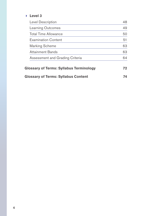### 4 **Level 3**

| Level Description                              | 48  |
|------------------------------------------------|-----|
| Learning Outcomes                              | 49  |
| Total Time Allowance                           | 50  |
| <b>Examination Content</b>                     | 51  |
| Marking Scheme                                 | 63  |
| Attainment Bands                               | 63  |
| Assessment and Grading Criteria                | 64  |
| <b>Glossary of Terms: Syllabus Terminology</b> | 72. |
| <b>Glossary of Terms: Syllabus Content</b>     |     |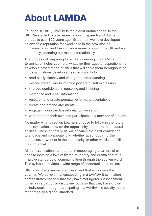## **About LAMDA**

Founded in 1861, LAMDA is the oldest drama school in the UK. We started to offer examinations in speech and drama to the public over 150 years ago. Since then we have developed an enviable reputation for excellence in the provision of Communication and Performance examinations in the UK and we are rapidly extending our reach internationally.

The process of preparing for and succeeding in a LAMDA Examination helps Learners, whatever their ages or aspirations, to develop a broad range of skills that will serve them throughout life. Our examinations develop a Learner's ability to:

- read easily, fluently and with good understanding
- expand vocabulary to improve powers of self-expression
- improve confidence in speaking and listening
- memorise and recall information
- research and create persuasive formal presentations
- create and defend arguments
- engage in constructive informal conversation
- work both on their own and participate as a member of a team.

No matter what direction Learners choose to follow in the future, our examinations provide the opportunity to nurture their natural abilities. These critical skills will enhance their self-confidence to engage and contribute fully, whether at school, in further education, at work or in the community. In other words, to fulfil their potential.

All our examinations are rooted in encouraging Learners of all ages to develop a love of literature, poetry and drama and thus improve standards of communication through the spoken word. This syllabus provides a wide range of opportunities to do so.

Ultimately, it is a sense of achievement that empowers the Learner. We believe that succeeding in a LAMDA Examination demonstrates not only that they have met rigorous Assessment Criteria in a particular discipline, but also that they have grown as individuals through participating in a worthwhile activity that is respected as a global standard.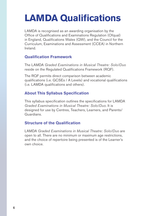## **LAMDA Qualifications**

LAMDA is recognised as an awarding organisation by the Office of Qualifications and Examinations Regulation (Ofqual) in England, Qualifications Wales (QW), and the Council for the Curriculum, Examinations and Assessment (CCEA) in Northern Ireland.

## **Qualification Framework**

The LAMDA *Graded Examinations in Musical Theatre: Solo/Duo* reside on the Regulated Qualifications Framework (RQF).

The RQF permits direct comparison between academic qualifications (i.e. GCSEs / A Levels) and vocational qualifications (i.e. LAMDA qualifications and others).

## **About This Syllabus Specification**

This syllabus specification outlines the specifications for LAMDA *Graded Examinations in Musical Theatre: Solo/Duo*. It is designed for use by Centres, Teachers, Learners, and Parents/ Guardians.

## **Structure of the Qualification**

LAMDA *Graded Examinations in Musical Theatre: Solo/Duo* are open to all. There are no minimum or maximum age restrictions, and the choice of repertoire being presented is of the Learner's own choice.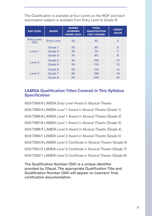The Qualification is available at four Levels on the RQF and each examination subject is available from Entry Level to Grade 8.

| <b>RQF LEVEL</b>           | <b>GRADE</b>       | <b>GUIDED</b><br><b>LEARNING</b><br><b>HOURS (GLH)</b> | <b>TOTAL</b><br><b>QUALIFICATION</b><br>(TQT) (HOURS) | <b>CREDIT</b><br><b>VALUE</b> |
|----------------------------|--------------------|--------------------------------------------------------|-------------------------------------------------------|-------------------------------|
| <b>Entry Level</b><br>(E3) | <b>Entry Level</b> | 20                                                     | 40                                                    | 4                             |
| Level 1                    | Grade 1            | 20                                                     | 60                                                    | 6                             |
|                            | Grade 2            | 25                                                     | 70                                                    | 7                             |
|                            | Grade 3            | 30                                                     | 80                                                    | 8                             |
| Level 2                    | Grade 4            | 40                                                     | 100                                                   | 10                            |
|                            | Grade 5            | 50                                                     | 120                                                   | 12                            |
| Level <sub>3</sub>         | Grade 6            | 60                                                     | 140                                                   | 14                            |
|                            | Grade 7            | 80                                                     | 180                                                   | 18                            |
|                            | Grade 8            | 90                                                     | 240                                                   | 94                            |

## **LAMDA Qualification Titles Covered in This Syllabus Specification**

603/7369/6 LAMDA *Entry Level Award in Musical Theatre* 603/7385/4 LAMDA *Level 1 Award in Musical Theatre* (Grade 1) 603/7386/6 LAMDA *Level 1 Award in Musical Theatre* (Grade 2) 603/7387/8 LAMDA *Level 1 Award in Musical Theatre* (Grade 3) 603/7388/X LAMDA *Level 2 Award in Musical Theatre* (Grade 4) 603/7389/1 LAMDA *Level 2 Award in Musical Theatre* (Grade 5) 603/7390/8 LAMDA *Level 3 Certificate in Musical Theatre* (Grade 6) 603/7391/X LAMDA *Level 3 Certificate in Musical Theatre* (Grade 7) 603/7392/1 LAMDA *Level 3 Certificate in Musical Theatre* (Grade 8)

The Qualification Number (QN) is a unique identifier provided by Ofqual. The appropriate Qualification Title and Qualification Number (QN) will appear on Learners' final certification documentation.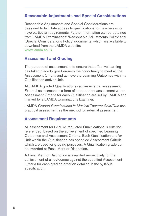## **Reasonable Adjustments and Special Considerations**

Reasonable Adjustments and Special Considerations are designed to facilitate access to qualifications for Learners who have particular requirements. Further information can be obtained from LAMDA Examinations' 'Reasonable Adjustments Policy' and 'Special Considerations Policy' documents, which are available to download from the LAMDA website: www.lamda.ac.uk

### **Assessment and Grading**

The purpose of assessment is to ensure that effective learning has taken place to give Learners the opportunity to meet all the Assessment Criteria and achieve the Learning Outcomes within a Qualification and/or Unit.

All LAMDA graded Qualifications require external assessment. External assessment is a form of independent assessment where Assessment Criteria for each Qualification are set by LAMDA and marked by a LAMDA Examinations Examiner.

LAMDA *Graded Examinations in Musical Theatre: Solo/Duo* use practical assessment as the method for external assessment.

### **Assessment Requirements**

All assessment for LAMDA regulated Qualifications is criterionreferenced, based on the achievement of specified Learning Outcomes and Assessment Criteria. Each Qualification and/or Unit within the Qualification has specified Assessment Criteria which are used for grading purposes. A Qualification grade can be awarded at Pass, Merit or Distinction.

A Pass, Merit or Distinction is awarded respectively for the achievement of all outcomes against the specified Assessment Criteria for each grading criterion detailed in the syllabus specification.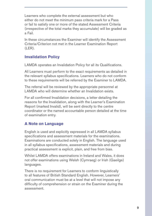Learners who complete the external assessment but who either do not meet the minimum pass criteria mark for a Pass or fail to satisfy one or more of the stated Assessment Criteria (irrespective of the total marks they accumulate) will be graded as a Fail.

In these circumstances the Examiner will identify the Assessment Criteria/Criterion not met in the Learner Examination Report (LER).

## **Invalidation Policy**

LAMDA operates an Invalidation Policy for all its Qualifications.

All Learners must perform to the exact requirements as detailed in the relevant syllabus specifications. Learners who do not conform to these requirements will be referred by the Examiner to LAMDA.

The referral will be reviewed by the appropriate personnel at LAMDA who will determine whether an Invalidation exists.

For all confirmed Invalidation decisions, a letter detailing the reasons for the Invalidation, along with the Learner's Examination Report (marked Invalid), will be sent directly to the centre coordinator or the named accountable person detailed at the time of examination entry.

## **A Note on Language**

English is used and explicitly expressed in all LAMDA syllabus specifications and assessment materials for the examinations. Examinations are conducted solely in English. The language used in all syllabus specifications, assessment materials and during practical assessment is explicit, plain, and free from bias.

Whilst LAMDA offers examinations in Ireland and Wales, it does not offer examinations using Welsh (Cymraeg) or Irish (Gaeilge) languages.

There is no requirement for Learners to conform linguistically to all features of British Standard English. However, Learners' oral communication must be at a level that will not impose any difficulty of comprehension or strain on the Examiner during the assessment.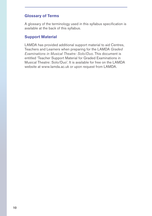## **Glossary of Terms**

A glossary of the terminology used in this syllabus specification is available at the back of this syllabus.

## **Support Material**

LAMDA has provided additional support material to aid Centres, Teachers and Learners when preparing for the LAMDA *Graded Examinations in Musical Theatre: Solo/Duo*. This document is entitled 'Teacher Support Material for Graded Examinations in Musical Theatre: Solo/Duo'. It is available for free on the LAMDA website at www.lamda.ac.uk or upon request from LAMDA.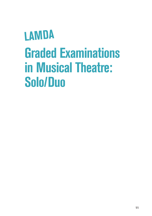## **LAMDA Graded Examinations in Musical Theatre: Solo/Duo**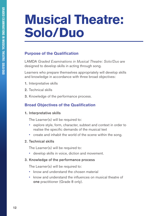## **Musical Theatre: Solo/Duo**

## **Purpose of the Qualification**

LAMDA *Graded Examinations in Musical Theatre: Solo/Duo* are designed to develop skills in acting through song.

Learners who prepare themselves appropriately will develop skills and knowledge in accordance with three broad objectives:

- 1. Interpretative skills
- 2. Technical skills
- 3. Knowledge of the performance process.

## **Broad Objectives of the Qualification**

### **1.** Interpretative skills

The Learner(s) will be required to:

- explore style, form, character, subtext and context in order to realise the specific demands of the musical text
- create and inhabit the world of the scene within the song.

### 2. Technical skills

The Learner(s) will be required to:

• develop skills in voice, diction and movement.

### 3. Knowledge of the performance process

The Learner(s) will be required to:

- know and understand the chosen material
- know and understand the influences on musical theatre of one practitioner (Grade 8 only).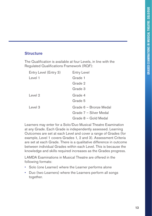## **Structure**

The Qualification is available at four Levels, in line with the Regulated Qualifications Framework (RQF):

| Entry Level (Entry 3) | <b>Entry Level</b>     |
|-----------------------|------------------------|
| Level 1               | Grade 1                |
|                       | Grade 2                |
|                       | Grade 3                |
| Level $2$             | Grade 4                |
|                       | Grade 5                |
| Level $3$             | Grade 6 - Bronze Medal |
|                       | Grade 7 – Silver Medal |
|                       | Grade 8 – Gold Medal   |

Learners may enter for a Solo/Duo Musical Theatre Examination at any Grade. Each Grade is independently assessed. Learning Outcomes are set at each Level and cover a range of Grades (for example, Level 1 covers Grades 1, 2 and 3). Assessment Criteria are set at each Grade. There is a qualitative difference in outcome between individual Grades within each Level. This is because the knowledge and skills required increases as the Grades progress.

LAMDA Examinations in Musical Theatre are offered in the following formats:

- Solo (one Learner) where the Learner performs alone
- Duo (two Learners) where the Learners perform all songs together.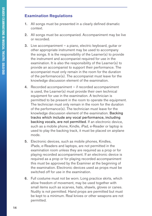## **Examination Regulations**

- 1. All songs must be presented in a clearly defined dramatic context.
- 2. All songs must be accompanied. Accompaniment may be live or recorded.
- 3. Live accompaniment a piano, electric keyboard, guitar or other appropriate instrument may be used to accompany the songs. It is the responsibility of the Learner(s) to provide the instrument and accompanist required for use in the examination. It is also the responsibility of the Learner(s) to provide an accompanist to support their performance. The accompanist must only remain in the room for the duration of the performance(s). The accompanist must leave for the knowledge discussion element of the examination.
- 4. Recorded accompaniment if recorded accompaniment is used, the Learner(s) must provide their own technical equipment for use in the examination. A technician is permitted to be present in the room to operate the equipment. The technician must only remain in the room for the duration of the performance(s). The technician must leave for the knowledge discussion element of the examination. Backing tracks which include any vocal performance, including backing vocals, are not permitted. If an electronic device, such as a mobile phone, Kindle, iPad, e-Reader or laptop is used to play the backing track, it must be placed on airplane mode.
- 5. Electronic devices, such as mobile phones, Kindles, iPads, e-Readers and laptops, are not permitted in the examination room unless they are required as a prop or for playing recorded accompaniment. If an electronic device is required as a prop or for playing recorded accompaniment this must be approved by the Examiner at the beginning of the examination. Electronic devices used as props must be switched off for use in the examination.
- 6. Full costume must not be worn. Long practice skirts, which allow freedom of movement, may be used together with small items such as scarves, hats, shawls, gloves or canes. Nudity is not permitted. Hand props are permitted but must be kept to a minimum. Real knives or other weapons are not permitted.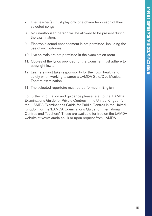- 7. The Learner(s) must play only one character in each of their selected songs.
- 8. No unauthorised person will be allowed to be present during the examination.
- 9. Electronic sound enhancement is not permitted, including the use of microphones.
- 10. Live animals are not permitted in the examination room.
- 11. Copies of the lyrics provided for the Examiner must adhere to copyright laws.
- 12. Learners must take responsibility for their own health and safety when working towards a LAMDA Solo/Duo Musical Theatre examination.
- 13. The selected repertoire must be performed in English.

For further information and guidance please refer to the 'LAMDA Examinations Guide for Private Centres in the United Kingdom', the 'LAMDA Examinations Guide for Public Centres in the United Kingdom' or the 'LAMDA Examinations Guide for International Centres and Teachers'. These are available for free on the LAMDA website at www.lamda.ac.uk or upon request from LAMDA.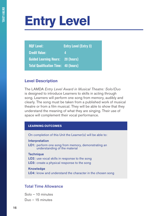## **Entry Level**

| <b>RQF Level:</b>                           | <b>Entry Level (Entry 3)</b> |
|---------------------------------------------|------------------------------|
| <b>Credit Value:</b>                        |                              |
| <b>Guided Learning Hours: 20 (hours)</b>    |                              |
| <b>Total Qualification Time: 40 (hours)</b> |                              |

## **Level Description**

The LAMDA *Entry Level Award in Musical Theatre: Solo/Duo* is designed to introduce Learners to skills in acting through song. Learners will perform one song from memory, audibly and clearly. The song must be taken from a published work of musical theatre or from a film musical. They will be able to show that they understand the meaning of what they are singing. Their use of space will complement their vocal performance.

#### **LEARNING OUTCOMES**

On completion of this Unit the Learner(s) will be able to:

Interpretation

LO1: perform one song from memory, demonstrating an understanding of the material

**Technique** LO2: use vocal skills in response to the song LO3: create a physical response to the song

**Knowledge** LO4: know and understand the character in the chosen song

## Total Time Allowance

Solo – 10 minutes Duo – 15 minutes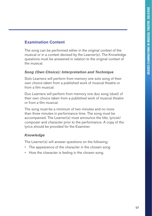## **Examination Content**

The song can be performed either in the original context of the musical or in a context devised by the Learner(s). The Knowledge questions must be answered in relation to the original context of the musical.

## *Song (Own Choice): Interpretation and Technique*

Solo Learners will perform from memory one solo song of their own choice taken from a published work of musical theatre or from a film musical.

Duo Learners will perform from memory one duo song (duet) of their own choice taken from a published work of musical theatre or from a film musical.

The song must be a minimum of two minutes and no more than three minutes in performance time. The song must be accompanied. The Learner(s) must announce the title, lyricist/ composer and character prior to the performance. A copy of the lyrics should be provided for the Examiner.

## *Knowledge*

The Learner(s) will answer questions on the following:

- The appearance of the character in the chosen song
- How the character is feeling in the chosen song.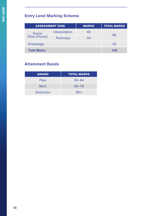## **Entry Level Marking Scheme**

| <b>ASSESSMENT TASK</b> |                | <b>MARKS</b> | <b>TOTAL MARKS</b> |
|------------------------|----------------|--------------|--------------------|
| <b>Scene</b>           | Interpretation | 40           | 80                 |
| (Own Choice)           | Technique      | 40           |                    |
| Knowledge              |                |              | 20                 |
| <b>Total Marks</b>     |                |              | 100                |

## **Attainment Bands**

| <b>AWARD</b>       | <b>TOTAL MARKS</b> |
|--------------------|--------------------|
| Pass               | $50 - 64$          |
| <b>Merit</b>       | $65 - 79$          |
| <b>Distinction</b> | $80+$              |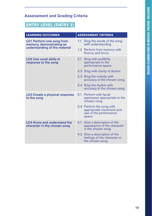## **ENTRY LEVEL (ENTRY 3)**

| <b>LEARNING OUTCOMES</b>                                                                      | <b>ASSESSMENT CRITERIA</b>                                                               |
|-----------------------------------------------------------------------------------------------|------------------------------------------------------------------------------------------|
| <b>LO1 Perform one song from</b><br>memory, demonstrating an<br>understanding of the material | Sing the words of the song<br>$1.1 -$<br>with understanding                              |
|                                                                                               | 1.2 Perform from memory with<br>fluency and focus                                        |
| <b>LO2 Use vocal skills in</b><br>response to the song                                        | 2.1 Sing with audibility<br>appropriate to the<br>performance space                      |
|                                                                                               | 2.2 Sing with clarity of diction                                                         |
|                                                                                               | 2.3 Sing the melody with<br>accuracy in the chosen song                                  |
|                                                                                               | 2.4 Sing the rhythm with<br>accuracy in the chosen song                                  |
| <b>LO3 Create a physical response</b><br>to the song                                          | 3.1 Perform with facial<br>expression appropriate to the<br>chosen song                  |
|                                                                                               | 3.2 Perform the song with<br>appropriate movement and<br>use of the performance<br>space |
| <b>LO4 Know and understand the</b><br>character in the chosen song                            | Give a description of the<br>4.1<br>appearance of the character<br>in the chosen song    |
|                                                                                               | 4.2 Give a description of the<br>feelings of the character in<br>the chosen song         |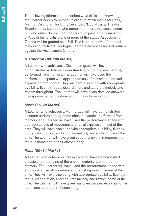The following information describes what skills and knowledge the Learner needs to present in order to attain marks for Pass, Merit or Distinction for Entry Level Solo/Duo Musical Theatre Examinations. Learners who complete the external assessment but who either do not meet the minimum pass criteria mark for a Pass or fail to satisfy one or more of the stated Assessment Criteria will be graded as a Fail. This is irrespective of the total marks accumulated. Duologue Learners are assessed individually against the Assessment Criteria.

## *Distinction (80–100 Marks)*

A Learner who achieves a Distinction grade will have demonstrated a detailed understanding of the chosen material, performed from memory. The Learner will have used the performance space with appropriate use of movement and facial expression throughout. They will have also sung with appropriate audibility, fluency, focus, clear diction, and accurate melody and rhythm throughout. The Learner will have given detailed answers in response to the questions about their chosen song.

## *Merit (65–79 Marks)*

A Learner who achieves a Merit grade will have demonstrated a secure understanding of the chosen material, performed from memory. The Learner will have used the performance space with appropriate use of movement and facial expression most of the time. They will have also sung with appropriate audibility, fluency, focus, clear diction, and accurate melody and rhythm most of the time. The Learner will have given secure answers in response to the questions about their chosen song.

### *Pass (50–64 Marks)*

A Learner who achieves a Pass grade will have demonstrated a basic understanding of the chosen material, performed from memory. The Learner will have used the performance space with appropriate use of movement and facial expression some of the time. They will have also sung with appropriate audibility, fluency, focus, clear diction, and accurate melody and rhythm some of the time. The Learner will have given basic answers in response to the questions about their chosen song.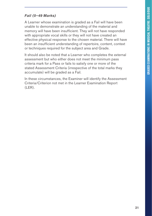## *Fail (0–49 Marks)*

A Learner whose examination is graded as a Fail will have been unable to demonstrate an understanding of the material and memory will have been insufficient. They will not have responded with appropriate vocal skills or they will not have created an effective physical response to the chosen material. There will have been an insufficient understanding of repertoire, content, context or techniques required for the subject area and Grade.

It should also be noted that a Learner who completes the external assessment but who either does not meet the minimum pass criteria mark for a Pass or fails to satisfy one or more of the stated Assessment Criteria (irrespective of the total marks they accumulate) will be graded as a Fail.

In these circumstances, the Examiner will identify the Assessment Criteria/Criterion not met in the Learner Examination Report (LER).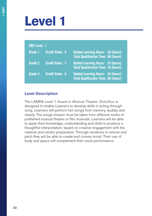## **Level 1**

| <b>RQF Level: 1</b> |                        |                                                                                         |
|---------------------|------------------------|-----------------------------------------------------------------------------------------|
| Grade 1             | <b>Credit Value: 6</b> | <b>Guided Learning Hours: 20 (hours)</b><br><b>Total Qualification Time: 60 (hours)</b> |
| Grade 2             | <b>Credit Value: 7</b> | <b>Guided Learning Hours: 25 (hours)</b><br><b>Total Qualification Time: 70 (hours)</b> |
| Grade 3             | <b>Credit Value: 8</b> | <b>Guided Learning Hours: 30 (hours)</b><br><b>Total Qualification Time: 80 (hours)</b> |

## **Level Description**

The LAMDA *Level 1 Award in Musical Theatre: Solo/Duo* is designed to enable Learners to develop skills in acting through song. Learners will perform two songs from memory, audibly and clearly. The songs chosen must be taken from different works of published musical theatre or film musicals. Learners will be able to apply their knowledge, understanding and skills to produce a thoughtful interpretation, based on creative engagement with the material and careful preparation. Through variations in volume and pitch they will be able to create and convey mood. Their use of body and space will complement their vocal performance.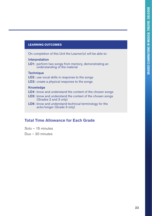#### **LEARNING OUTCOMES**

On completion of this Unit the Learner(s) will be able to:

#### **Interpretation**

LO1: perform two songs from memory, demonstrating an understanding of the material

#### **Technique**

- LO2: use vocal skills in response to the songs
- LO3: create a physical response to the songs

#### Knowledge

- LO4: know and understand the content of the chosen songs
- LO5: know and understand the context of the chosen songs (Grades 2 and 3 only)
- LO6: know and understand technical terminology for the actor/singer (Grade 3 only)

## **Total Time Allowance for Each Grade**

Solo – 15 minutes

Duo – 20 minutes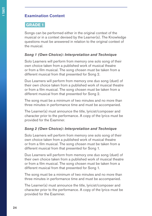## **Examination Content**

## **GRADE 1**

Songs can be performed either in the original context of the musical or in a context devised by the Learner(s). The Knowledge questions must be answered in relation to the original context of the musical.

## *Song 1 (Own Choice): Interpretation and Technique*

Solo Learners will perform from memory one solo song of their own choice taken from a published work of musical theatre or from a film musical. The song chosen must be taken from a different musical from that presented for Song 2.

Duo Learners will perform from memory one duo song (duet) of their own choice taken from a published work of musical theatre or from a film musical. The song chosen must be taken from a different musical from that presented for Song 2.

The song must be a minimum of two minutes and no more than three minutes in performance time and must be accompanied.

The Learner(s) must announce the title, lyricist/composer and character prior to the performance. A copy of the lyrics must be provided for the Examiner.

## *Song 2 (Own Choice): Interpretation and Technique*

Solo Learners will perform from memory one solo song of their own choice taken from a published work of musical theatre or from a film musical. The song chosen must be taken from a different musical from that presented for Song 1.

Duo Learners will perform from memory one duo song (duet) of their own choice taken from a published work of musical theatre or from a film musical. The song chosen must be taken from a different musical from that presented for Song 1.

The song must be a minimum of two minutes and no more than three minutes in performance time and must be accompanied.

The Learner(s) must announce the title, lyricist/composer and character prior to the performance. A copy of the lyrics must be provided for the Examiner.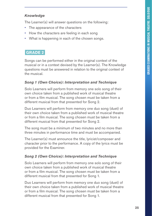## *Knowledge*

The Learner(s) will answer questions on the following:

- The appearance of the characters
- How the characters are feeling in each song
- What is happening in each of the chosen songs.

## **GRADE 2**

Songs can be performed either in the original context of the musical or in a context devised by the Learner(s). The Knowledge questions must be answered in relation to the original context of the musical.

## *Song 1 (Own Choice): Interpretation and Technique*

Solo Learners will perform from memory one solo song of their own choice taken from a published work of musical theatre or from a film musical. The song chosen must be taken from a different musical from that presented for Song 2.

Duo Learners will perform from memory one duo song (duet) of their own choice taken from a published work of musical theatre or from a film musical. The song chosen must be taken from a different musical from that presented for Song 2.

The song must be a minimum of two minutes and no more than three minutes in performance time and must be accompanied.

The Learner(s) must announce the title, lyricist/composer and character prior to the performance. A copy of the lyrics must be provided for the Examiner.

## *Song 2 (Own Choice): Interpretation and Technique*

Solo Learners will perform from memory one solo song of their own choice taken from a published work of musical theatre or from a film musical. The song chosen must be taken from a different musical from that presented for Song 1.

Duo Learners will perform from memory one duo song (duet) of their own choice taken from a published work of musical theatre or from a film musical. The song chosen must be taken from a different musical from that presented for Song 1.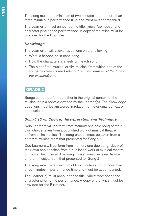The song must be a minimum of two minutes and no more than three minutes in performance time and must be accompanied.

The Learner(s) must announce the title, lyricist/composer and character prior to the performance. A copy of the lyrics must be provided for the Examiner.

## *Knowledge*

The Learner(s) will answer questions on the following:

- What is happening in each song
- How the characters are feeling in each song
- The plot of the musical or film musical from which one of the songs has been taken (*selected by the Examiner at the time of the examination*).

## **GRADE 3**

Songs can be performed either in the original context of the musical or in a context devised by the Learner(s). The Knowledge questions must be answered in relation to the original context of the musical.

## *Song 1 (Own Choice): Interpretation and Technique*

Solo Learners will perform from memory one solo song of their own choice taken from a published work of musical theatre or from a film musical. The song chosen must be taken from a different musical from that presented for Song 2.

Duo Learners will perform from memory one duo song (duet) of their own choice taken from a published work of musical theatre or from a film musical. The song chosen must be taken from a different musical from that presented for Song 2.

The song must be a minimum of two minutes and no more than three minutes in performance time and must be accompanied.

The Learner(s) must announce the title, lyricist/composer and character prior to the performance. A copy of the lyrics must be provided for the Examiner.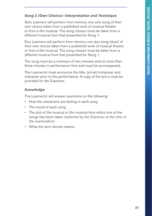## *Song 2 (Own Choice): Interpretation and Technique*

Solo Learners will perform from memory one solo song of their own choice taken from a published work of musical theatre or from a film musical. The song chosen must be taken from a different musical from that presented for Song 1.

Duo Learners will perform from memory one duo song (duet) of their own choice taken from a published work of musical theatre or from a film musical. The song chosen must be taken from a different musical from that presented for Song 1.

The song must be a minimum of two minutes and no more than three minutes in performance time and must be accompanied.

The Learner(s) must announce the title, lyricist/composer and character prior to the performance. A copy of the lyrics must be provided for the Examiner.

## *Knowledge*

The Learner(s) will answer questions on the following:

- How the characters are feeling in each song
- The mood of each song
- The plot of the musical or film musical from which one of the songs has been taken (*selected by the Examiner at the time of the examination*)
- What the term *libretto* means.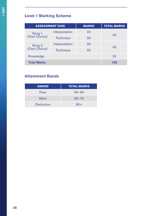## **Level 1 Marking Scheme**

| <b>ASSESSMENT TASK</b> |                | <b>MARKS</b> | <b>TOTAL MARKS</b> |
|------------------------|----------------|--------------|--------------------|
| Song 1<br>(Own Choice) | Interpretation | 20           | 40                 |
|                        | Technique      | 20           |                    |
| Song 2<br>(Own Choice) | Interpretation | 20           | 40                 |
|                        | Technique      | 20           |                    |
| Knowledge              |                |              | 20                 |
| <b>Total Marks</b>     |                |              | 100                |

## **Attainment Bands**

| <b>AWARD</b>       | <b>TOTAL MARKS</b> |
|--------------------|--------------------|
| Pass               | $50 - 64$          |
| <b>Merit</b>       | $65 - 79$          |
| <b>Distinction</b> | $80+$              |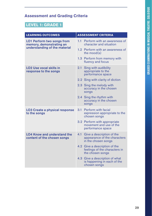## **LEVEL 1: GRADE 1**

| <b>LEARNING OUTCOMES</b>                                          | <b>ASSESSMENT CRITERIA</b>                                                              |  |
|-------------------------------------------------------------------|-----------------------------------------------------------------------------------------|--|
| <b>LO1 Perform two songs from</b><br>memory, demonstrating an     | 1.1 Perform with an awareness of<br>character and situation                             |  |
| understanding of the material                                     | 1.2 Perform with an awareness of<br>the $mod(s)$                                        |  |
|                                                                   | 1.3 Perform from memory with<br>fluency and focus                                       |  |
| <b>LO2 Use vocal skills in</b><br>response to the songs           | Sing with audibility<br>2.1<br>appropriate to the<br>performance space                  |  |
|                                                                   | 2.2 Sing with clarity of diction                                                        |  |
|                                                                   | 2.3 Sing the melody with<br>accuracy in the chosen<br>songs                             |  |
|                                                                   | 2.4 Sing the rhythm with<br>accuracy in the chosen<br>songs                             |  |
| <b>LO3 Create a physical response</b><br>to the songs             | 3.1 Perform with facial<br>expression appropriate to the<br>chosen songs                |  |
|                                                                   | 3.2 Perform with appropriate<br>movement and use of the<br>performance space            |  |
| <b>LO4 Know and understand the</b><br>content of the chosen songs | 4.1<br>Give a description of the<br>appearance of the characters<br>in the chosen songs |  |
|                                                                   | 4.2 Give a description of the<br>feelings of the characters in<br>the chosen songs      |  |
|                                                                   | 4.3 Give a description of what<br>is happening in each of the<br>chosen songs           |  |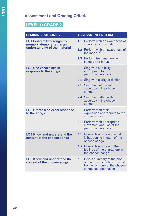## **LEVEL 1: GRADE 2**

| <b>LEARNING OUTCOMES</b>                                          | <b>ASSESSMENT CRITERIA</b>                                                                                                  |  |
|-------------------------------------------------------------------|-----------------------------------------------------------------------------------------------------------------------------|--|
| <b>LO1 Perform two songs from</b><br>memory, demonstrating an     | 1.1 Perform with an awareness of<br>character and situation                                                                 |  |
| understanding of the material                                     | 1.2 Perform with an awareness of<br>the mood $(s)$                                                                          |  |
|                                                                   | 1.3 Perform from memory with<br>fluency and focus                                                                           |  |
| <b>LO2 Use vocal skills in</b><br>response to the songs           | 2.1<br>Sing with audibility<br>appropriate to the<br>performance space                                                      |  |
|                                                                   | 2.2 Sing with clarity of diction                                                                                            |  |
|                                                                   | 2.3 Sing the melody with<br>accuracy in the chosen<br>songs                                                                 |  |
|                                                                   | 2.4 Sing the rhythm with<br>accuracy in the chosen<br>songs                                                                 |  |
| <b>LO3 Create a physical response</b><br>to the songs             | 3.1 Perform with facial<br>expression appropriate to the<br>chosen songs                                                    |  |
|                                                                   | 3.2 Perform with appropriate<br>movement and use of the<br>performance space                                                |  |
| <b>LO4 Know and understand the</b><br>content of the chosen songs | Give a description of what<br>4.1<br>is happening in each of the<br>chosen songs                                            |  |
|                                                                   | 4.2 Give a description of the<br>feelings of the characters in<br>the chosen songs                                          |  |
| <b>LO5 Know and understand the</b><br>context of the chosen songs | 5.1<br>Give a summary of the plot<br>of the musical or film musical<br>from which one of the chosen<br>songs has been taken |  |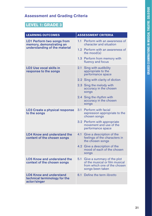## **LEVEL 1: GRADE 3**

| <b>LEARNING OUTCOMES</b>                                                        | <b>ASSESSMENT CRITERIA</b>                                                                                              |  |
|---------------------------------------------------------------------------------|-------------------------------------------------------------------------------------------------------------------------|--|
| <b>LO1 Perform two songs from</b><br>memory, demonstrating an                   | 1.1 Perform with an awareness of<br>character and situation                                                             |  |
| understanding of the material                                                   | 1.2 Perform with an awareness of<br>the mood $(s)$                                                                      |  |
|                                                                                 | 1.3 Perform from memory with<br>fluency and focus                                                                       |  |
| <b>LO2 Use vocal skills in</b><br>response to the songs                         | 2.1<br>Sing with audibility<br>appropriate to the<br>performance space                                                  |  |
|                                                                                 | 2.2 Sing with clarity of diction                                                                                        |  |
|                                                                                 | 2.3 Sing the melody with<br>accuracy in the chosen<br>songs                                                             |  |
|                                                                                 | 2.4 Sing the rhythm with<br>accuracy in the chosen<br>songs                                                             |  |
| <b>LO3 Create a physical response</b><br>to the songs                           | Perform with facial<br>3.1<br>expression appropriate to the<br>chosen songs                                             |  |
|                                                                                 | 3.2 Perform with appropriate<br>movement and use of the<br>performance space                                            |  |
| <b>LO4 Know and understand the</b><br>content of the chosen songs               | 4.1 Give a description of the<br>feelings of the characters in<br>the chosen songs                                      |  |
|                                                                                 | 4.2 Give a description of the<br>mood of each of the chosen<br>songs                                                    |  |
| <b>LO5 Know and understand the</b><br>context of the chosen songs               | 5.1<br>Give a summary of the plot<br>of the musical or film musical<br>from which one of the chosen<br>songs been taken |  |
| <b>LO6 Know and understand</b><br>technical terminology for the<br>actor/singer | Define the term libretto<br>6.1                                                                                         |  |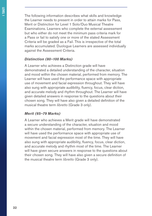The following information describes what skills and knowledge the Learner needs to present in order to attain marks for Pass, Merit or Distinction for Level 1 Solo/Duo Musical Theatre Examinations. Learners who complete the external assessment but who either do not meet the minimum pass criteria mark for a Pass or fail to satisfy one or more of the stated Assessment Criteria will be graded as a Fail. This is irrespective of the total marks accumulated. Duologue Learners are assessed individually against the Assessment Criteria.

#### *Distinction (80–100 Marks)*

A Learner who achieves a Distinction grade will have demonstrated a detailed understanding of the character, situation and mood within the chosen material, performed from memory. The Learner will have used the performance space with appropriate use of movement and facial expression throughout. They will have also sung with appropriate audibility, fluency, focus, clear diction, and accurate melody and rhythm throughout. The Learner will have given detailed answers in response to the questions about their chosen song. They will have also given a detailed definition of the musical theatre term *libretto* (Grade 3 only).

#### *Merit (65–79 Marks)*

A Learner who achieves a Merit grade will have demonstrated a secure understanding of the character, situation and mood within the chosen material, performed from memory. The Learner will have used the performance space with appropriate use of movement and facial expression most of the time. They will have also sung with appropriate audibility, fluency, focus, clear diction, and accurate melody and rhythm most of the time. The Learner will have given secure answers in response to the questions about their chosen song. They will have also given a secure definition of the musical theatre term *libretto* (Grade 3 only).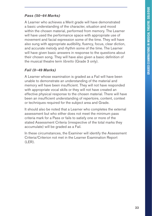## *Pass (50–64 Marks)*

A Learner who achieves a Merit grade will have demonstrated a basic understanding of the character, situation and mood within the chosen material, performed from memory. The Learner will have used the performance space with appropriate use of movement and facial expression some of the time. They will have also sung with appropriate audibility, fluency, focus, clear diction, and accurate melody and rhythm some of the time. The Learner will have given basic answers in response to the questions about their chosen song. They will have also given a basic definition of the musical theatre term *libretto* (Grade 3 only).

## *Fail (0–49 Marks)*

A Learner whose examination is graded as a Fail will have been unable to demonstrate an understanding of the material and memory will have been insufficient. They will not have responded with appropriate vocal skills or they will not have created an effective physical response to the chosen material. There will have been an insufficient understanding of repertoire, content, context or techniques required for the subject area and Grade.

It should also be noted that a Learner who completes the external assessment but who either does not meet the minimum pass criteria mark for a Pass or fails to satisfy one or more of the stated Assessment Criteria (irrespective of the total marks they accumulate) will be graded as a Fail.

In these circumstances, the Examiner will identify the Assessment Criteria/Criterion not met in the Learner Examination Report (LER).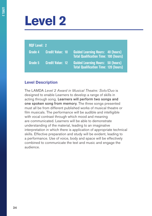## **Level 2**

## **RQF Level: 2**

| Grade 4 | <b>Credit Value: 10</b>  | <b>Guided Learning Hours: 40 (hours)</b><br><b>Total Qualification Time: 100 (hours)</b> |
|---------|--------------------------|------------------------------------------------------------------------------------------|
| Grade 5 | <b>Credit Value: 12.</b> | <b>Guided Learning Hours: 50 (hours)</b><br><b>Total Qualification Time: 120 (hours)</b> |

## **Level Description**

The LAMDA *Level 2 Award in Musical Theatre: Solo/Duo* is designed to enable Learners to develop a range of skills in acting through song. Learners will perform two songs and one spoken song from memory. The three songs presented must all be from different published works of musical theatre or film musicals. The performance will be audible and intelligible with vocal contrast through which mood and meaning are communicated. Learners will be able to demonstrate understanding of the material, leading to an imaginative interpretation in which there is application of appropriate technical skills. Effective preparation and study will be evident, leading to a performance. Use of voice, body and space will be effectively combined to communicate the text and music and engage the audience.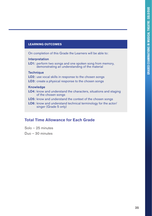#### **LEARNING OUTCOMES**

On completion of this Grade the Learners will be able to:

#### Interpretation

LO1: perform two songs and one spoken song from memory, demonstrating an understanding of the material

#### **Technique**

LO2: use vocal skills in response to the chosen songs

LO3: create a physical response to the chosen songs

#### **Knowledge**

- LO4: know and understand the characters, situations and staging of the chosen songs
- LO5: know and understand the context of the chosen songs
- LO6: know and understand technical terminology for the actor/ singer (Grade 5 only)

## **Total Time Allowance for Each Grade**

Solo – 25 minutes

Duo – 30 minutes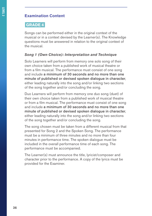## **Examination Content**

## **GRADE 4**

Songs can be performed either in the original context of the musical or in a context devised by the Learner(s). The Knowledge questions must be answered in relation to the original context of the musical.

## *Song 1 (Own Choice): Interpretation and Technique*

Solo Learners will perform from memory one solo song of their own choice taken from a published work of musical theatre or from a film musical. The performance must consist of one song and include a minimum of 30 seconds and no more than one minute of published or devised spoken dialogue in character, either leading naturally into the song and/or linking two sections of the song together and/or concluding the song.

Duo Learners will perform from memory one duo song (duet) of their own choice taken from a published work of musical theatre or from a film musical. The performance must consist of one song and include a minimum of 30 seconds and no more than one minute of published or devised spoken dialogue in character, either leading naturally into the song and/or linking two sections of the song together and/or concluding the song.

The song chosen must be taken from a different musical from that presented for Song 2 and the Spoken Song. The performance must be a minimum of three minutes and no more than four minutes in performance time. The spoken dialogue must be included in the overall performance time of each song. The performance must be accompanied.

The Learner(s) must announce the title, lyricist/composer and character prior to the performance. A copy of the lyrics must be provided for the Examiner.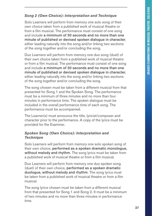#### *Song 2 (Own Choice): Interpretation and Technique*

Solo Learners will perform from memory one solo song of their own choice taken from a published work of musical theatre or from a film musical. The performance must consist of one song and include a minimum of 30 seconds and no more than one minute of published or devised spoken dialogue in character, either leading naturally into the song and/or linking two sections of the song together and/or concluding the song.

Duo Learners will perform from memory one duo song (duet) of their own choice taken from a published work of musical theatre or from a film musical. The performance must consist of one song and include a minimum of 30 seconds and no more than one minute of published or devised spoken dialogue in character, either leading naturally into the song and/or linking two sections of the song together and/or concluding the song.

The song chosen must be taken from a different musical from that presented for Song 1 and the Spoken Song. The performance must be a minimum of three minutes and no more than four minutes in performance time. The spoken dialogue must be included in the overall performance time of each song. The performance must be accompanied.

The Learner(s) must announce the title, lyricist/composer and character prior to the performance. A copy of the lyrics must be provided for the Examiner.

#### *Spoken Song (Own Choice): Interpretation and Technique*

Solo Learners will perform from memory one solo spoken song of their own choice, performed as a spoken dramatic monologue, without melody and rhythm. The song lyrics must be taken from a published work of musical theatre or from a film musical.

Duo Learners will perform from memory one duo spoken song (duet) of their own choice, performed as a spoken dramatic duologue, without melody and rhythm. The song lyrics must be taken from a published work of musical theatre or from a film musical.

The song lyrics chosen must be taken from a different musical from that presented for Song 1 and Song 2. It must be a minimum of two minutes and no more than three minutes in performance time.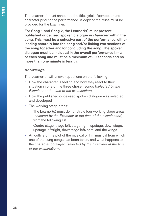**LEVEL 2**

The Learner(s) must announce the title, lyricist/composer and character prior to the performance. A copy of the lyrics must be provided for the Examiner.

For Song 1 and Song 2, the Learner(s) must present published or devised spoken dialogue *in character* within the song. This must be a cohesive part of the performance, either leading naturally into the song and/or linking two sections of the song together and/or concluding the song. The spoken dialogue must be included in the overall performance time of each song and must be a minimum of 30 seconds and no more than one minute in length.

#### *Knowledge*

The Learner(s) will answer questions on the following:

- How the character is feeling and how they react to their situation in one of the three chosen songs (*selected by the Examiner at the time of the examination*)
- How the published or devised spoken dialogue was selected and developed
- The working stage areas:

The Learner(s) must demonstrate four working stage areas (*selected by the Examiner at the time of the examination*) from the following list:

Centre stage, stage left, stage right, upstage, downstage, upstage left/right, downstage left/right, and the wings.

• An outline of the plot of the musical or film musical from which one of the sung songs has been taken, and what happens to the character portrayed (*selected by the Examiner at the time of the examination*).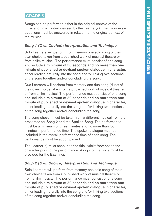## **GRADE 5**

Songs can be performed either in the original context of the musical or in a context devised by the Learner(s). The Knowledge questions must be answered in relation to the original context of the musical.

#### *Song 1 (Own Choice): Interpretation and Technique*

Solo Learners will perform from memory one solo song of their own choice taken from a published work of musical theatre or from a film musical. The performance must consist of one song and include a minimum of 30 seconds and no more than one minute of published or devised spoken dialogue in character, either leading naturally into the song and/or linking two sections of the song together and/or concluding the song.

Duo Learners will perform from memory one duo song (duet) of their own choice taken from a published work of musical theatre or from a film musical. The performance must consist of one song and include a minimum of 30 seconds and no more than one minute of published or devised spoken dialogue in character, either leading naturally into the song and/or linking two sections of the song together and/or concluding the song.

The song chosen must be taken from a different musical from that presented for Song 2 and the Spoken Song. The performance must be a minimum of three minutes and no more than four minutes in performance time. The spoken dialogue must be included in the overall performance time of each song. The performance must be accompanied.

The Learner(s) must announce the title, lyricist/composer and character prior to the performance. A copy of the lyrics must be provided for the Examiner.

#### *Song 2 (Own Choice): Interpretation and Technique*

Solo Learners will perform from memory one solo song of their own choice taken from a published work of musical theatre or from a film musical. The performance must consist of one song and include a minimum of 30 seconds and no more than one minute of published or devised spoken dialogue in character, either leading naturally into the song and/or linking two sections of the song together and/or concluding the song.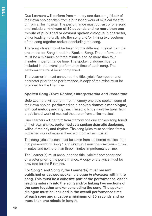Duo Learners will perform from memory one duo song (duet) of their own choice taken from a published work of musical theatre or from a film musical. The performance must consist of one song and include a minimum of 30 seconds and no more than one minute of published or devised spoken dialogue in character, either leading naturally into the song and/or linking two sections of the song together and/or concluding the song.

The song chosen must be taken from a different musical from that presented for Song 1 and the Spoken Song. The performance must be a minimum of three minutes and no more than four minutes in performance time. The spoken dialogue must be included in the overall performance time of each song. The performance must be accompanied.

The Learner(s) must announce the title, lyricist/composer and character prior to the performance. A copy of the lyrics must be provided for the Examiner.

#### *Spoken Song (Own Choice): Interpretation and Technique*

Solo Learners will perform from memory one solo spoken song of their own choice, performed as a spoken dramatic monologue, without melody and rhythm. The song lyrics must be taken from a published work of musical theatre or from a film musical.

Duo Learners will perform from memory one duo spoken song (duet) of their own choice, performed as a spoken dramatic duologue, without melody and rhythm. The song lyrics must be taken from a published work of musical theatre or from a film musical.

The song lyrics chosen must be taken from a different musical from that presented for Song 1 and Song 2. It must be a minimum of two minutes and no more than three minutes in performance time.

The Learner(s) must announce the title, lyricist/ composer and character prior to the performance. A copy of the lyrics must be provided for the Examiner.

For Song 1 and Song 2, the Learner(s) must present published or devised spoken dialogue *in character* within the song. This must be a cohesive part of the performance, either leading naturally into the song and/or linking two sections of the song together and/or concluding the song. The spoken dialogue must be included in the overall performance time of each song and must be a minimum of 30 seconds and no more than one minute in length.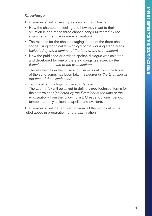#### *Knowledge*

The Learner(s) will answer questions on the following:

- How the character is feeling and how they react to their situation in one of the three chosen songs (*selected by the Examiner at the time of the examination*)
- The reasons for the chosen staging in one of the three chosen songs using technical terminology of the working stage areas (*selected by the Examiner at the time of the examination*)
- How the published or devised spoken dialogue was selected and developed for one of the sung songs (*selected by the Examiner at the time of the examination*)
- The key themes in the musical or film musical from which one of the sung songs has been taken (*selected by the Examiner at the time of the examination*)
- Technical terminology for the actor/singer: The Learner(s) will be asked to define three technical terms for the actor/singer (*selected by the Examiner at the time of the examination*) from the following list: Crescendo, diminuendo, tempo, harmony, unison, acapella, and overture.

The Learner(s) will be required to know all the technical terms listed above in preparation for the examination.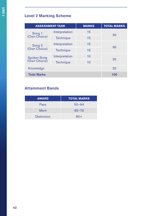## **Level 2 Marking Scheme**

| <b>ASSESSMENT TASK</b>      |                | <b>MARKS</b> | <b>TOTAL MARKS</b> |
|-----------------------------|----------------|--------------|--------------------|
| Song 1                      | Interpretation | 15           |                    |
| (Own Choice)                | Technique      | 15           | 30                 |
|                             | Interpretation | 15           |                    |
| Song 2<br>(Own Choice)      | Technique      | 15           | 30                 |
|                             | Interpretation | 10           | 20                 |
| Spoken Song<br>(Own Choice) | Technique      | 10           |                    |
| Knowledge                   |                |              | 20                 |
| <b>Total Marks</b>          |                |              | 100                |

## **Attainment Bands**

| <b>AWARD</b>       | <b>TOTAL MARKS</b> |
|--------------------|--------------------|
| Pass               | $50 - 64$          |
| <b>Merit</b>       | $65 - 79$          |
| <b>Distinction</b> | $80+$              |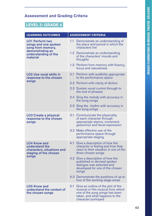## **LEVEL 2: GRADE 4**

| <b>LEARNING OUTCOMES</b>                                                                     | <b>ASSESSMENT CRITERIA</b> |                                                                                                                                                                     |
|----------------------------------------------------------------------------------------------|----------------------------|---------------------------------------------------------------------------------------------------------------------------------------------------------------------|
| <b>LO1 Perform two</b><br>songs and one spoken<br>song from memory,                          | 1.1                        | Demonstrate an understanding of<br>the place and period in which the<br>characters live                                                                             |
| demonstrating an<br>understanding of the<br>material                                         |                            | 1.2 Demonstrate an understanding<br>of the characters' moods and<br>thoughts                                                                                        |
|                                                                                              |                            | 1.3 Perform from memory with fluency,<br>focus and naturalness                                                                                                      |
| <b>LO2 Use vocal skills in</b><br>response to the chosen                                     |                            | 2.1 Perform with audibility appropriate<br>to the performance space                                                                                                 |
| songs                                                                                        |                            | 2.2 Perform with clarity of diction                                                                                                                                 |
|                                                                                              |                            | 2.3 Sustain vocal control through to<br>the end of phrases                                                                                                          |
|                                                                                              |                            | 2.4 Sing the melody with accuracy in<br>the sung songs                                                                                                              |
|                                                                                              |                            | 2.5 Sing the rhythm with accuracy in<br>the sung songs                                                                                                              |
| <b>LO3 Create a physical</b><br>response to the chosen<br>songs                              | 3.1                        | Communicate the physicality<br>of each character through<br>appropriate stance, movement,<br>gesture(s) and facial expression                                       |
|                                                                                              |                            | 3.2 Make effective use of the<br>performance space through<br>appropriate staging                                                                                   |
| <b>LO4 Know and</b><br>understand the<br>characters, situations and<br>staging of the chosen | 4.1                        | Give a description of how the<br>character is feeling and how they<br>react to their situation in one of the<br>three chosen songs                                  |
| songs                                                                                        |                            | 4.2 Give a description of how the<br>published or devised spoken<br>dialogue was selected and<br>developed for one of the chosen<br>songs                           |
|                                                                                              |                            | 4.3 Demonstrate the positions of up to<br>four of the working stage areas                                                                                           |
| <b>LO5 Know and</b><br>understand the context of<br>the chosen songs                         | 5.1                        | Give an outline of the plot of the<br>musical or film musical from which<br>one of the sung songs has been<br>taken, and what happens to the<br>character portrayed |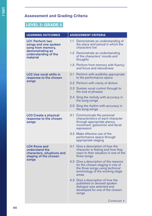## **LEVEL 2: GRADE 5**

| <b>LEARNING OUTCOMES</b>                                                                     | <b>ASSESSMENT CRITERIA</b> |                                                                                                                                                           |
|----------------------------------------------------------------------------------------------|----------------------------|-----------------------------------------------------------------------------------------------------------------------------------------------------------|
| <b>LO1 Perform two</b><br>songs and one spoken<br>song from memory,                          | $1.1 -$                    | Demonstrate an understanding of<br>the place and period in which the<br>characters live                                                                   |
| demonstrating an<br>understanding of the<br>material                                         |                            | 1.2 Demonstrate an understanding<br>of the characters' moods and<br>thoughts                                                                              |
|                                                                                              |                            | 1.3 Perform from memory with fluency<br>and focus and naturalness                                                                                         |
| <b>LO2 Use vocal skills in</b><br>response to the chosen                                     |                            | 2.1 Perform with audibility appropriate<br>to the performance space                                                                                       |
| songs                                                                                        |                            | 2.2 Perform with clarity of diction                                                                                                                       |
|                                                                                              |                            | 2.3 Sustain vocal control through to<br>the end of phrases                                                                                                |
|                                                                                              |                            | 2.4 Sing the melody with accuracy in<br>the sung songs                                                                                                    |
|                                                                                              |                            | 2.5 Sing the rhythm with accuracy in<br>the sung songs                                                                                                    |
| <b>LO3 Create a physical</b><br>response to the chosen<br>songs                              |                            | 3.1 Communicate the personal<br>characteristics of each character<br>through appropriate stance,<br>movement, gesture(s) and facial<br>expression         |
|                                                                                              |                            | 3.2 Make effective use of the<br>performance space through<br>appropriate staging                                                                         |
| <b>LO4 Know and</b><br>understand the<br>characters, situations and<br>staging of the chosen | 4.1                        | Give a description of how the<br>character is feeling and how they<br>react to their situation in one of the<br>three songs                               |
| songs                                                                                        |                            | 4.2 Give a description of the reasons<br>for the chosen staging in one of<br>the three songs using technical<br>terminology of the working stage<br>areas |
|                                                                                              |                            | 4.3 Give a description of how the<br>published or devised spoken<br>dialogue was selected and<br>developed for one of the chosen<br>songs                 |
|                                                                                              |                            | Continued $\blacktriangleright$                                                                                                                           |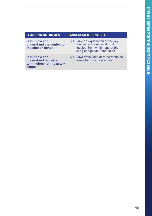| <b>LEARNING OUTCOMES</b>                                                            | <b>ASSESSMENT CRITERIA</b>                                                                                                        |  |
|-------------------------------------------------------------------------------------|-----------------------------------------------------------------------------------------------------------------------------------|--|
| <b>LO5 Know and</b><br>understand the context of<br>the chosen songs                | 5.1 Give an explanation of the key<br>themes in the musical or film<br>musical from which one of the<br>sung songs has been taken |  |
| <b>LO6 Know and</b><br>understand technical<br>terminology for the actor/<br>singer | 6.1 Give definitions of three technical<br>terms for the actor/singer                                                             |  |
|                                                                                     |                                                                                                                                   |  |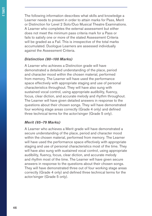The following information describes what skills and knowledge a Learner needs to present in order to attain marks for Pass, Merit or Distinction for Level 2 Solo/Duo Musical Theatre Examinations. A Learner who completes the external assessment but either does not meet the minimum pass criteria mark for a Pass or fails to satisfy one or more of the stated Assessment Criteria will be graded as a Fail. This is irrespective of the total marks accumulated. Duologue Learners are assessed individually against the Assessment Criteria.

#### *Distinction (80–100 Marks)*

A Learner who achieves a Distinction grade will have demonstrated a detailed understanding of the place, period and character mood within the chosen material, performed from memory. The Learner will have used the performance space effectively with appropriate staging and use of personal characteristics throughout. They will have also sung with sustained vocal control, using appropriate audibility, fluency, focus, clear diction, and accurate melody and rhythm throughout. The Learner will have given detailed answers in response to the questions about their chosen songs. They will have demonstrated four working stage areas correctly (Grade 4 only) and defined three technical terms for the actor/singer (Grade 5 only).

#### *Merit (65–79 Marks)*

A Learner who achieves a Merit grade will have demonstrated a secure understanding of the place, period and character mood within the chosen material, performed from memory. The Learner will have used the performance space effectively with appropriate staging and use of personal characteristics most of the time. They will have also sung with sustained vocal control, using appropriate audibility, fluency, focus, clear diction, and accurate melody and rhythm most of the time. The Learner will have given secure answers in response to the questions about their chosen songs. They will have demonstrated three out of four working stage areas correctly (Grade 4 only) and defined three technical terms for the actor/singer (Grade 5 only).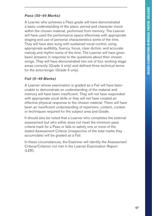#### *Pass (50–64 Marks)*

A Learner who achieves a Pass grade will have demonstrated a basic understanding of the place, period and character mood within the chosen material, performed from memory. The Learner will have used the performance space effectively with appropriate staging and use of personal characteristics some of the time. They will have also sung with sustained vocal control, using appropriate audibility, fluency, focus, clear diction, and accurate melody and rhythm some of the time. The Learner will have given basic answers in response to the questions about their chosen songs. They will have demonstrated two out of four working stage areas correctly (Grade 4 only) and defined three technical terms for the actor/singer (Grade 5 only).

#### *Fail (0–49 Marks)*

A Learner whose examination is graded as a Fail will have been unable to demonstrate an understanding of the material and memory will have been insufficient. They will not have responded with appropriate vocal skills or they will not have created an effective physical response to the chosen material. There will have been an insufficient understanding of repertoire, content, context or techniques required for the subject area and Grade.

It should also be noted that a Learner who completes the external assessment but who either does not meet the minimum pass criteria mark for a Pass or fails to satisfy one or more of the stated Assessment Criteria (irrespective of the total marks they accumulate) will be graded as a Fail.

In these circumstances, the Examiner will identify the Assessment Criteria/Criterion not met in the Learner Examination Report (LER).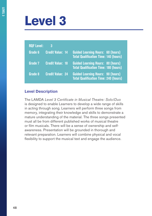# **Level 3**

| <b>RQF Level:</b> | 3                       |                                                                                          |
|-------------------|-------------------------|------------------------------------------------------------------------------------------|
| Grade 6           | <b>Credit Value: 14</b> | <b>Guided Learning Hours: 60 (hours)</b><br><b>Total Qualification Time: 140 (hours)</b> |
| Grade 7           | <b>Credit Value: 18</b> | <b>Guided Learning Hours: 80 (hours)</b><br><b>Total Qualification Time: 180 (hours)</b> |
| Grade 8           | <b>Credit Value: 24</b> | <b>Guided Learning Hours: 90 (hours)</b><br><b>Total Qualification Time: 240 (hours)</b> |

#### **Level Description**

The LAMDA *Level 3 Certificate in Musical Theatre: Solo/Duo* is designed to enable Learners to develop a wide range of skills in acting through song. Learners will perform three songs from memory, integrating their knowledge and skills to demonstrate a mature understanding of the material. The three songs presented must all be from different published works of musical theatre or film musicals. There will be a sense of ownership and selfawareness. Presentation will be grounded in thorough and relevant preparation. Learners will combine physical and vocal flexibility to support the musical text and engage the audience.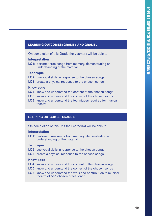#### **LEARNING OUTCOMES: GRADE 6 AND GRADE 7**

On completion of this Grade the Learners will be able to:

#### Interpretation

**LO1:** perform three songs from memory, demonstrating an understanding of the material

#### **Technique**

- LO2: use vocal skills in response to the chosen songs
- LO3: create a physical response to the chosen songs

#### Knowledge

- LO4: know and understand the content of the chosen songs
- LO5: know and understand the context of the chosen songs
- LO6: know and understand the techniques required for musical theatre

#### LEARNING OUTCOMES: GRADE 8

On completion of this Unit the Learner(s) will be able to:

#### **Interpretation**

LO1: perform three songs from memory, demonstrating an understanding of the material

#### **Technique**

- LO2: use vocal skills in response to the chosen songs
- LO3: create a physical response to the chosen songs

#### Knowledge

- LO4: know and understand the content of the chosen songs
- LO5: know and understand the context of the chosen songs
- LO6: know and understand the work and contribution to musical theatre of one chosen practitioner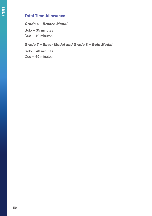### **Total Time Allowance**

#### *Grade 6 – Bronze Medal*

Solo – 35 minutes

Duo – 40 minutes

#### *Grade 7 – Silver Medal and Grade 8 – Gold Medal*

Solo – 40 minutes Duo – 45 minutes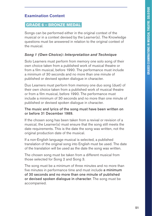## **Examination Content**

#### **GRADE 6 – BRONZE MEDAL**

Songs can be performed either in the original context of the musical or in a context devised by the Learner(s). The Knowledge questions must be answered in relation to the original context of the musical.

#### *Song 1 (Own Choice): Interpretation and Technique*

Solo Learners must perform from memory one solo song of their own choice taken from a published work of musical theatre or from a film musical, before 1990. The performance must include a minimum of 30 seconds and no more than one minute of published or devised spoken dialogue in character.

Duo Learners must perform from memory one duo song (duet) of their own choice taken from a published work of musical theatre or from a film musical, before 1990. The performance must include a minimum of 30 seconds and no more than one minute of published or devised spoken dialogue in character.

#### The music and lyrics of the song must have been written on or before 31 December 1989.

If the chosen song has been taken from a revival or revision of a musical, the Learner(s) must ensure that the song still meets the date requirements. This is the date the song was written, not the original production date of the musical.

If a non-English language musical is selected, a published translation of the original song into English must be used. The date of the translation will be used as the date the song was written.

The chosen song must be taken from a different musical from those selected for Song 2 and Song 3.

The song must be a minimum of three minutes and no more than five minutes in performance time and must include a minimum of 30 seconds and no more than one minute of published or devised spoken dialogue in character. The song must be accompanied.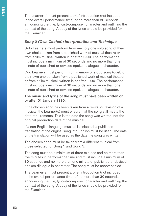The Learner(s) must present a brief introduction (not included in the overall performance time) of no more than 30 seconds, announcing the title, lyricist/composer, character and outlining the context of the song. A copy of the lyrics should be provided for the Examiner.

#### *Song 2 (Own Choice): Interpretation and Technique*

Solo Learners must perform from memory one solo song of their own choice taken from a published work of musical theatre or from a film musical, written in or after 1990. The performance must include a minimum of 30 seconds and no more than one minute of published or devised spoken dialogue in character.

Duo Learners must perform from memory one duo song (duet) of their own choice taken from a published work of musical theatre or from a film musical, written in or after 1990. The performance must include a minimum of 30 seconds and no more than one minute of published or devised spoken dialogue in character.

#### The music and lyrics of the song must have been written on or after 01 January 1990.

If the chosen song has been taken from a revival or revision of a musical, the Learner(s) must ensure that the song still meets the date requirements. This is the date the song was written, not the original production date of the musical.

If a non-English language musical is selected, a published translation of the original song into English must be used. The date of the translation will be used as the date the song was written.

The chosen song must be taken from a different musical from those selected for Song 1 and Song 3.

The song must be a minimum of three minutes and no more than five minutes in performance time and must include a minimum of 30 seconds and no more than one minute of published or devised spoken dialogue in character. The song must be accompanied.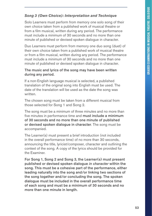#### *Song 3 (Own Choice): Interpretation and Technique*

Solo Learners must perform from memory one solo song of their own choice taken from a published work of musical theatre or from a film musical, written during any period. The performance must include a minimum of 30 seconds and no more than one minute of published or devised spoken dialogue in character.

Duo Learners must perform from memory one duo song (duet) of their own choice taken from a published work of musical theatre or from a film musical, written during any period. The performance must include a minimum of 30 seconds and no more than one minute of published or devised spoken dialogue in character.

#### The music and lyrics of the song may have been written during any period.

If a non-English language musical is selected, a published translation of the original song into English must be used. The date of the translation will be used as the date the song was written.

The chosen song must be taken from a different musical from those selected for Song 1 and Song 2.

The song must be a minimum of three minutes and no more than five minutes in performance time and must include a minimum of 30 seconds and no more than one minute of published or devised spoken dialogue in character. The song must be accompanied.

The Learner(s) must present a brief introduction (not included in the overall performance time) of no more than 30 seconds, announcing the title, lyricist/composer, character and outlining the context of the song. A copy of the lyrics should be provided for the Examiner.

For Song 1, Song 2 and Song 3, the Learner(s) must present published or devised spoken dialogue *in character* within the song. This must be a cohesive part of the performance, either leading naturally into the song and/or linking two sections of the song together and/or concluding the song. The spoken dialogue must be included in the overall performance time of each song and must be a minimum of 30 seconds and no more than one minute in length.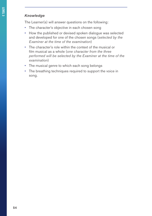#### *Knowledge*

The Learner(s) will answer questions on the following:

- The character's objective in each chosen song
- How the published or devised spoken dialogue was selected and developed for one of the chosen songs (*selected by the Examiner at the time of the examination*)
- The character's role within the context of the musical or film musical as a whole (*one character from the three performed will be selected by the Examiner at the time of the examination*)
- The musical genre to which each song belongs
- The breathing techniques required to support the voice in song.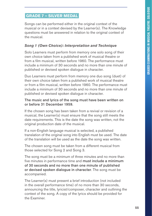## **GRADE 7 – SILVER MEDAL**

Songs can be performed either in the original context of the musical or in a context devised by the Learner(s). The Knowledge questions must be answered in relation to the original context of the musical.

#### *Song 1 (Own Choice): Interpretation and Technique*

Solo Learners must perform from memory one solo song of their own choice taken from a published work of musical theatre or from a film musical, written before 1960. The performance must include a minimum of 30 seconds and no more than one minute of published or devised spoken dialogue in character.

Duo Learners must perform from memory one duo song (duet) of their own choice taken from a published work of musical theatre or from a film musical, written before 1960. The performance must include a minimum of 30 seconds and no more than one minute of published or devised spoken dialogue in character.

#### The music and lyrics of the song must have been written on or before 31 December 1959.

If the chosen song has been taken from a revival or revision of a musical, the Learner(s) must ensure that the song still meets the date requirements. This is the date the song was written, not the original production date of the musical.

If a non-English language musical is selected, a published translation of the original song into English must be used. The date of the translation will be used as the date the song was written.

The chosen song must be taken from a different musical from those selected for Song 2 and Song 3.

The song must be a minimum of three minutes and no more than five minutes in performance time and must include a minimum of 30 seconds and no more than one minute of published or devised spoken dialogue in character. The song must be accompanied.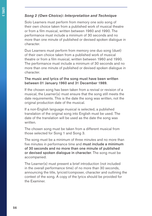#### *Song 2 (Own Choice): Interpretation and Technique*

Solo Learners must perform from memory one solo song of their own choice taken from a published work of musical theatre or from a film musical, written between 1960 and 1990. The performance must include a minimum of 30 seconds and no more than one minute of published or devised spoken dialogue in character.

Duo Learners must perform from memory one duo song (duet) of their own choice taken from a published work of musical theatre or from a film musical, written between 1960 and 1990. The performance must include a minimum of 30 seconds and no more than one minute of published or devised spoken dialogue in character.

#### The music and lyrics of the song must have been written between 01 January 1960 and 31 December 1989.

If the chosen song has been taken from a revival or revision of a musical, the Learner(s) must ensure that the song still meets the date requirements. This is the date the song was written, not the original production date of the musical.

If a non-English language musical is selected, a published translation of the original song into English must be used. The date of the translation will be used as the date the song was written.

The chosen song must be taken from a different musical from those selected for Song 1 and Song 3.

The song must be a minimum of three minutes and no more than five minutes in performance time and must include a minimum of 30 seconds and no more than one minute of published or devised spoken dialogue in character. The song must be accompanied.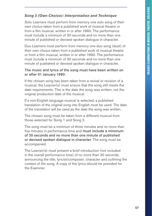#### *Song 3 (Own Choice): Interpretation and Technique*

Solo Learners must perform from memory one solo song of their own choice taken from a published work of musical theatre or from a film musical, written in or after 1990. The performance must include a minimum of 30 seconds and no more than one minute of published or devised spoken dialogue in character.

Duo Learners must perform from memory one duo song (duet) of their own choice taken from a published work of musical theatre or from a film musical, written in or after 1990. The performance must include a minimum of 30 seconds and no more than one minute of published or devised spoken dialogue in character.

#### The music and lyrics of the song must have been written on or after 01 January 1990.

If the chosen song has been taken from a revival or revision of a musical, the Learner(s) must ensure that the song still meets the date requirements. This is the date the song was written, not the original production date of the musical.

If a non-English language musical is selected, a published translation of the original song into English must be used. The date of the translation will be used as the date the song was written.

The chosen song must be taken from a different musical from those selected for Song 1 and Song 2.

The song must be a minimum of three minutes and no more than five minutes in performance time and must include a minimum of 30 seconds and no more than one minute of published or devised spoken dialogue in character. The song must be accompanied.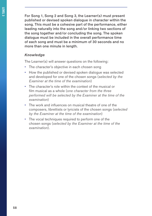For Song 1, Song 2 and Song 3, the Learner(s) must present published or devised spoken dialogue in character within the song. This must be a cohesive part of the performance, either leading naturally into the song and/or linking two sections of the song together and/or concluding the song. The spoken dialogue must be included in the overall performance time of each song and must be a minimum of 30 seconds and no more than one minute in length.

#### *Knowledge*

The Learner(s) will answer questions on the following:

- The character's objective in each chosen song
- How the published or devised spoken dialogue was selected and developed for one of the chosen songs (*selected by the Examiner at the time of the examination*)
- The character's role within the context of the musical or film musical as a whole (*one character from the three performed will be selected by the Examiner at the time of the examination*)
- The work and influences on musical theatre of one of the composers, librettists or lyricists of the chosen songs (*selected by the Examiner at the time of the examination*)
- The vocal techniques required to perform one of the chosen songs (*selected by the Examiner at the time of the examination*).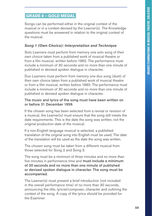## **GRADE 8 – GOLD MEDAL**

Songs can be performed either in the original context of the musical or in a context devised by the Learner(s). The Knowledge questions must be answered in relation to the original context of the musical.

#### *Song 1 (Own Choice): Interpretation and Technique*

Solo Learners must perform from memory one solo song of their own choice taken from a published work of musical theatre or from a film musical, written before 1960. The performance must include a minimum of 30 seconds and no more than one minute of published or devised spoken dialogue in character.

Duo Learners must perform from memory one duo song (duet) of their own choice taken from a published work of musical theatre or from a film musical, written before 1960. The performance must include a minimum of 30 seconds and no more than one minute of published or devised spoken dialogue in character.

#### The music and lyrics of the song must have been written on or before 31 December 1959.

If the chosen song has been selected from a revival or revision of a musical, the Learner(s) must ensure that the song still meets the date requirements. This is the date the song was written, not the original production date of the musical.

If a non-English language musical is selected, a published translation of the original song into English must be used. The date of the translation will be used as the date the song was written.

The chosen song must be taken from a different musical from those selected for Song 2 and Song 3.

The song must be a minimum of three minutes and no more than five minutes in performance time and must include a minimum of 30 seconds and no more than one minute of published or devised spoken dialogue in character. The song must be accompanied.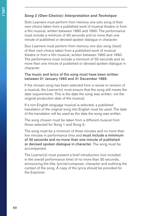#### *Song 2 (Own Choice): Interpretation and Technique*

Solo Learners must perform from memory one solo song of their own choice taken from a published work of musical theatre or from a film musical, written between 1960 and 1990. The performance must include a minimum of 30 seconds and no more than one minute of published or devised spoken dialogue in character.

Duo Learners must perform from memory one duo song (duet) of their own choice taken from a published work of musical theatre or from a film musical, written between 1960 and 1990. The performance must include a minimum of 30 seconds and no more than one minute of published or devised spoken dialogue in character.

#### The music and lyrics of the song must have been written between 01 January 1960 and 31 December 1989.

If the chosen song has been selected from a revival or revision of a musical, the Learner(s) must ensure that the song still meets the date requirements. This is the date the song was written, not the original production date of the musical.

If a non-English language musical is selected, a published translation of the original song into English must be used. The date of the translation will be used as the date the song was written.

The song chosen must be taken from a different musical from those selected for Song 1 and Song 3.

The song must be a minimum of three minutes and no more than five minutes in performance time and must include a minimum of 30 seconds and no more than one minute of published or devised spoken dialogue in character. The song must be accompanied.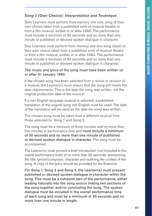#### *Song 3 (Own Choice): Interpretation and Technique*

Solo Learners must perform from memory one solo song of their own choice taken from a published work of musical theatre or from a film musical, written in or after 1990. The performance must include a minimum of 30 seconds and no more than one minute of published or devised spoken dialogue in character.

Duo Learners must perform from memory one duo song (duet) of their own choice taken from a published work of musical theatre or from a film musical, written in or after 1990. The performance must include a minimum of 30 seconds and no more than one minute of published or devised spoken dialogue in character.

#### The music and lyrics of the song must have been written on or after 01 January 1990.

If the chosen song has been selected from a revival or revision of a musical, the Learner(s) must ensure that the song still meets the date requirements. This is the date the song was written, not the original production date of the musical.

If a non-English language musical is selected, a published translation of the original song into English must be used. The date of the translation will be used as the date the song was written.

The chosen song must be taken from a different musical from those selected for Song 1 and Song 2.

The song must be a minimum of three minutes and no more than five minutes in performance time and must include a minimum of 30 seconds and no more than one minute of published or devised spoken dialogue in character. The song must be accompanied.

The Learner(s) must present a brief introduction (not included in the overall performance time) of no more than 30 seconds, announcing the title, lyricist/composer, character and outlining the context of the song. A copy of the lyrics should be provided for the Examiner.

For Song 1, Song 2 and Song 3, the Learner(s) must present published or devised spoken dialogue *in character* within the song. This must be a cohesive part of the performance, either leading naturally into the song and/or linking two sections of the song together and/or concluding the song. The spoken dialogue must be included in the overall performance time of each song and must be a minimum of 30 seconds and no more than one minute in length.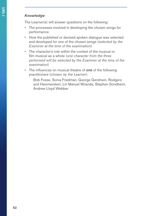#### *Knowledge*

The Learner(s) will answer questions on the following:

- The processes involved in developing the chosen songs for performance
- How the published or devised spoken dialogue was selected and developed for one of the chosen songs (*selected by the Examiner at the time of the examination*)
- The character's role within the context of the musical or film musical as a whole (*one character from the three performed will be selected by the Examiner at the time of the examination*)
- The influences on musical theatre of one of the following practitioners (*chosen by the Learner*):

Bob Fosse, Sonia Friedman, George Gershwin, Rodgers and Hammerstein, Lin Manuel Miranda, Stephen Sondheim, Andrew Lloyd Webber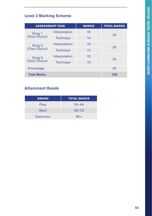## **Level 3 Marking Scheme**

|                        | <b>ASSESSMENT TASK</b> | <b>MARKS</b> | <b>TOTAL MARKS</b> |
|------------------------|------------------------|--------------|--------------------|
| Song 1                 | Interpretation         | 15           | 25                 |
| (Own Choice)           | Technique              | 10           |                    |
|                        | Interpretation         | 15           |                    |
| Song 2<br>(Own Choice) | <b>Technique</b>       | 10           | 25                 |
| Song 3                 | Interpretation         | 15           |                    |
| (Own Choice)           | <b>Technique</b>       | 10           | 25                 |
| Knowledge              |                        |              | 25                 |
| <b>Total Marks</b>     |                        |              | 100                |

## **Attainment Bands**

| <b>AWARD</b>       | <b>TOTAL MARKS</b> |
|--------------------|--------------------|
| Pass               | $50 - 64$          |
| <b>Merit</b>       | $65 - 79$          |
| <b>Distinction</b> | $80+$              |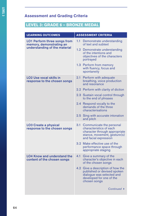## **LEVEL 3: GRADE 6 – BRONZE MEDAL**

| <b>LEARNING OUTCOMES</b>                                                                         | <b>ASSESSMENT CRITERIA</b>                                                                                                                                |  |
|--------------------------------------------------------------------------------------------------|-----------------------------------------------------------------------------------------------------------------------------------------------------------|--|
| <b>LO1 Perform three songs from</b><br>memory, demonstrating an<br>understanding of the material | 1.1<br>Demonstrate understanding<br>of text and subtext                                                                                                   |  |
|                                                                                                  | 1.2 Demonstrate understanding<br>of the intentions and<br>objectives of the characters<br>portrayed                                                       |  |
|                                                                                                  | 1.3 Perform from memory<br>with fluency, focus and<br>spontaneity                                                                                         |  |
| LO2 Use vocal skills in<br>response to the chosen songs                                          | Perform with adequate<br>2.1<br>breathing, voice production<br>and resonance                                                                              |  |
|                                                                                                  | 2.2 Perform with clarity of diction                                                                                                                       |  |
|                                                                                                  | 2.3 Sustain vocal control through<br>to the end of phrases                                                                                                |  |
|                                                                                                  | 2.4 Respond vocally to the<br>demands of the three<br>characterisations                                                                                   |  |
|                                                                                                  | 2.5 Sing with accurate intonation<br>and pitch                                                                                                            |  |
| <b>LO3 Create a physical</b><br>response to the chosen songs                                     | 3.1<br>Communicate the personal<br>characteristics of each<br>character through appropriate<br>stance, movement, gesture(s)<br>and facial expression      |  |
|                                                                                                  | 3.2 Make effective use of the<br>performance space through<br>appropriate staging                                                                         |  |
| <b>LO4 Know and understand the</b><br>content of the chosen songs                                | 4.1<br>Give a summary of the<br>character's objective in each<br>of the chosen songs                                                                      |  |
|                                                                                                  | Give a description of how the<br>4.2 <sup>°</sup><br>published or devised spoken<br>dialogue was selected and<br>developed for one of the<br>chosen songs |  |
|                                                                                                  | Continued $\rightarrow$                                                                                                                                   |  |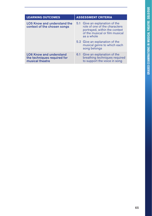| <b>LEARNING OUTCOMES</b>                                                         | <b>ASSESSMENT CRITERIA</b>                                                                                                                       |
|----------------------------------------------------------------------------------|--------------------------------------------------------------------------------------------------------------------------------------------------|
| <b>LO5 Know and understand the</b><br>context of the chosen songs                | 5.1 Give an explanation of the<br>role of one of the characters<br>portrayed, within the context<br>of the musical or film musical<br>as a whole |
|                                                                                  | 5.2 Give an explanation of the<br>musical genre to which each<br>song belongs                                                                    |
| <b>LO6 Know and understand</b><br>the techniques required for<br>musical theatre | 6.1 Give an explanation of the<br>breathing techniques required<br>to support the voice in song                                                  |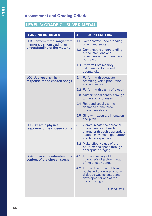## **LEVEL 3: GRADE 7 – SILVER MEDAL**

| <b>LEARNING OUTCOMES</b>                                                                         | <b>ASSESSMENT CRITERIA</b>                                                                                                                           |
|--------------------------------------------------------------------------------------------------|------------------------------------------------------------------------------------------------------------------------------------------------------|
| <b>LO1 Perform three songs from</b><br>memory, demonstrating an<br>understanding of the material | 1.1<br>Demonstrate understanding<br>of text and subtext                                                                                              |
|                                                                                                  | 1.2 Demonstrate understanding<br>of the intentions and<br>objectives of the characters<br>portrayed                                                  |
|                                                                                                  | 1.3 Perform from memory<br>with fluency, focus and<br>spontaneity                                                                                    |
| <b>LO2 Use vocal skills in</b><br>response to the chosen songs                                   | 2.1<br>Perform with adequate<br>breathing, voice production<br>and resonance                                                                         |
|                                                                                                  | 2.2 Perform with clarity of diction                                                                                                                  |
|                                                                                                  | 2.3 Sustain vocal control through<br>to the end of phrases                                                                                           |
|                                                                                                  | 2.4 Respond vocally to the<br>demands of the three<br>characterisations                                                                              |
|                                                                                                  | 2.5 Sing with accurate intonation<br>and pitch                                                                                                       |
| <b>LO3 Create a physical</b><br>response to the chosen songs                                     | 3.1<br>Communicate the personal<br>characteristics of each<br>character through appropriate<br>stance, movement, gesture(s)<br>and facial expression |
|                                                                                                  | 3.2 Make effective use of the<br>performance space through<br>appropriate staging                                                                    |
| <b>LO4 Know and understand the</b><br>content of the chosen songs                                | 4.1<br>Give a summary of the<br>character's objective in each<br>of the chosen songs                                                                 |
|                                                                                                  | 4.2 Give a description of how the<br>published or devised spoken<br>dialogue was selected and<br>developed for one of the<br>chosen songs            |
|                                                                                                  | Continued $\rightarrow$                                                                                                                              |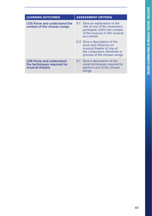| <b>LEARNING OUTCOMES</b>                                                         | <b>ASSESSMENT CRITERIA</b>                                                                                                                            |
|----------------------------------------------------------------------------------|-------------------------------------------------------------------------------------------------------------------------------------------------------|
| <b>LO5 Know and understand the</b><br>context of the chosen songs                | 5.1 Give an explanation of the<br>role of one of the characters<br>portrayed, within the context<br>of the musical or film musical<br>as a whole      |
|                                                                                  | 5.2 Give a description of the<br>work and influence on<br>musical theatre of one of<br>the composers, librettists or<br>lyricists of the chosen songs |
| <b>LO6 Know and understand</b><br>the techniques required for<br>musical theatre | 6.1 Give a description of the<br>vocal techniques required to<br>perform one of the chosen<br>songs                                                   |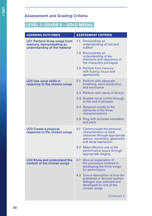## **LEVEL 3: GRADE 8 – GOLD MEDAL**

| <b>LEARNING OUTCOMES</b>                                                                         | <b>ASSESSMENT CRITERIA</b>                                                                                                                           |
|--------------------------------------------------------------------------------------------------|------------------------------------------------------------------------------------------------------------------------------------------------------|
| <b>LO1 Perform three songs from</b><br>memory, demonstrating an<br>understanding of the material | 1.1<br>Demonstrate an<br>understanding of text and<br>subtext                                                                                        |
|                                                                                                  | 1.2 Demonstrate an<br>understanding of the<br>intentions and objectives of<br>the characters portrayed                                               |
|                                                                                                  | 1.3 Perform from memory<br>with fluency, focus and<br>spontaneity                                                                                    |
| <b>LO2 Use vocal skills in</b><br>response to the chosen songs                                   | 2.1<br>Perform with adequate<br>breathing, voice production<br>and resonance                                                                         |
|                                                                                                  | 2.2 Perform with clarity of diction                                                                                                                  |
|                                                                                                  | 2.3 Sustain vocal control through<br>to the end of phrases                                                                                           |
|                                                                                                  | 2.4 Respond vocally to the<br>demands of the three<br>characterisations                                                                              |
|                                                                                                  | 2.5 Sing with accurate intonation<br>and pitch                                                                                                       |
| <b>LO3 Create a physical</b><br>response to the chosen songs                                     | 3.1<br>Communicate the personal<br>characteristics of each<br>character through appropriate<br>stance, movement, gesture(s)<br>and facial expression |
|                                                                                                  | 3.2 Make effective use of the<br>performance space through<br>appropriate staging                                                                    |
| <b>LO4 Know and understand the</b><br>content of the chosen songs                                | Give an explanation of<br>4.1<br>the processes involved in<br>developing the three songs<br>for performance                                          |
|                                                                                                  | 4.2 Give a description of how the<br>published or devised spoken<br>dialogue was selected and<br>developed for one of the<br>chosen songs            |
|                                                                                                  | Continued $\rightarrow$                                                                                                                              |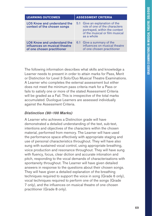| <b>LEARNING OUTCOMES</b>                                                                          | <b>ASSESSMENT CRITERIA</b>                                                                                                                       |
|---------------------------------------------------------------------------------------------------|--------------------------------------------------------------------------------------------------------------------------------------------------|
| <b>LO5 Know and understand the</b><br>context of the chosen songs                                 | 5.1 Give an explanation of the<br>role of one of the characters<br>portrayed, within the context<br>of the musical or film musical<br>as a whole |
| <b>LO6 Know and understand the</b><br>influences on musical theatre<br>of one chosen practitioner | 6.1 Give a summary of the<br>influences on musical theatre<br>of one chosen practitioner                                                         |

The following information describes what skills and knowledge a Learner needs to present in order to attain marks for Pass, Merit or Distinction for Level 3 Solo/Duo Musical Theatre Examinations. A Learner who completes the external assessment but either does not meet the minimum pass criteria mark for a Pass or fails to satisfy one or more of the stated Assessment Criteria will be graded as a Fail. This is irrespective of the total marks accumulated. Duologue Learners are assessed individually against the Assessment Criteria.

#### *Distinction (80–100 Marks)*

A Learner who achieves a Distinction grade will have demonstrated a detailed understanding of the text, sub-text, intentions and objectives of the characters within the chosen material, performed from memory. The Learner will have used the performance space effectively with appropriate staging and use of personal characteristics throughout. They will have also sung with sustained vocal control, using appropriate breathing, voice production and resonance throughout. They will have sung with fluency, focus, clear diction and accurate intonation and pitch, responding to the vocal demands of characterisations with spontaneity throughout. The Learner will have given detailed answers in response to the questions about their chosen songs. They will have given a detailed explanation of the breathing techniques required to support the voice in song (Grade 6 only), vocal techniques required to perform one of the songs (Grade 7 only), and the influences on musical theatre of one chosen practitioner (Grade 8 only).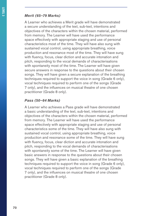#### *Merit (65–79 Marks)*

A Learner who achieves a Merit grade will have demonstrated a secure understanding of the text, sub-text, intentions and objectives of the characters within the chosen material, performed from memory. The Learner will have used the performance space effectively with appropriate staging and use of personal characteristics most of the time. They will have also sung with sustained vocal control, using appropriate breathing, voice production and resonance most of the time. They will have sung with fluency, focus, clear diction and accurate intonation and pitch, responding to the vocal demands of characterisations with spontaneity most of the time. The Learner will have given secure answers in response to the questions about their chosen songs. They will have given a secure explanation of the breathing techniques required to support the voice in song (Grade 6 only), vocal techniques required to perform one of the songs (Grade 7 only), and the influences on musical theatre of one chosen practitioner (Grade 8 only).

#### *Pass (50–64 Marks)*

A Learner who achieves a Pass grade will have demonstrated a basic understanding of the text, sub-text, intentions and objectives of the characters within the chosen material, performed from memory. The Learner will have used the performance space effectively with appropriate staging and use of personal characteristics some of the time. They will have also sung with sustained vocal control, using appropriate breathing, voice production and resonance some of the time. They will have sung with fluency, focus, clear diction and accurate intonation and pitch, responding to the vocal demands of characterisations with spontaneity some of the time. The Learner will have given basic answers in response to the questions about their chosen songs. They will have given a basic explanation of the breathing techniques required to support the voice in song (Grade 6 only), vocal techniques required to perform one of the songs (Grade 7 only), and the influences on musical theatre of one chosen practitioner (Grade 8 only).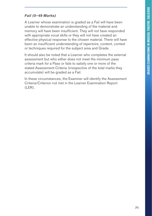#### *Fail (0–49 Marks)*

A Learner whose examination is graded as a Fail will have been unable to demonstrate an understanding of the material and memory will have been insufficient. They will not have responded with appropriate vocal skills or they will not have created an effective physical response to the chosen material. There will have been an insufficient understanding of repertoire, content, context or techniques required for the subject area and Grade.

It should also be noted that a Learner who completes the external assessment but who either does not meet the minimum pass criteria mark for a Pass or fails to satisfy one or more of the stated Assessment Criteria (irrespective of the total marks they accumulate) will be graded as a Fail.

In these circumstances, the Examiner will identify the Assessment Criteria/Criterion not met in the Learner Examination Report (LER).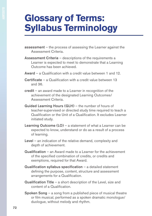## **Glossary of Terms: Syllabus Terminology**

- assessment the process of assessing the Learner against the Assessment Criteria.
- Assessment Criteria descriptions of the requirements a Learner is expected to meet to demonstrate that a Learning Outcome has been achieved.
- Award a Qualification with a credit value between 1 and 12.
- Certificate a Qualification with a credit value between 13 and 36.
- credit an award made to a Learner in recognition of the achievement of the designated Learning Outcomes/ Assessment Criteria.
- Guided Learning Hours (GLH) the number of hours of teacher-supervised or directed study time required to teach a Qualification or the Unit of a Qualification. It excludes Learner initiated study.
- Learning Outcome (LO) a statement of what a Learner can be expected to know, understand or do as a result of a process of learning.
- Level an indication of the relative demand, complexity and depth of achievement.
- Qualification an Award made to a Learner for the achievement of the specified combination of credits, or credits and exemptions, required for that Award.
- Qualification syllabus specification a detailed statement defining the purpose, content, structure and assessment arrangements for a Qualification.
- Qualification Title a short description of the Level, size and content of a Qualification.
- Spoken Song a song from a published piece of musical theatre or film musical, performed as a spoken dramatic monologue/ duologue, without melody and rhythm.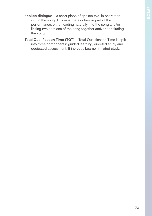- spoken dialogue a short piece of spoken text, in character within the song. This must be a cohesive part of the performance, either leading naturally into the song and/or linking two sections of the song together and/or concluding the song.
- Total Qualification Time (TQT) Total Qualification Time is split into three components: guided learning, directed study and dedicated assessment. It includes Learner initiated study.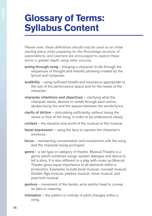## **Glossary of Terms: Syllabus Content**

*Please note: these definitions should only be used as an initial starting place when preparing for the Knowledge sections of examinations, and Learners are encouraged to explore these terms in greater depth using other sources.*

- acting through song bringing a character to life through the sequences of thought and melodic phrasing created by the lyricist and composer.
- audibility using sufficient breath and resonance appropriate to the size of the performance space and for the needs of the character.
- character intentions and objectives clarifying what the character wants, desires or needs through each action, spoken/sung line and the spaces between the words/lyrics.
- clarity of diction  $-$  articulating sufficiently, without losing the sense or flow of the song, in order to be understood clearly.
- context the situation and world of the musical or film musical.
- facial expression using the face to express the character's emotions.
- focus maintaining concentration and involvement with the song and the character being portrayed.
- genre a set type or category of theatre. Musical Theatre is a genre which combines songs, spoken dialogue and dance to tell a story. It is also different to a play with music as Musical Theatre gives equal importance to all elements within a production. Examples include book musical, concept musical, Golden Age musical, jukebox musical, revue musical, and pop/rock musical.
- gesture movement of the hands, arms and/or head to convey an idea or meaning.
- intonation the pattern or melody of pitch changes within a song.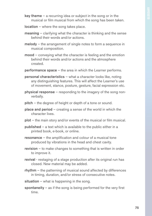- key theme  $-$  a recurring idea or subject in the song or in the musical or film musical from which the song has been taken.
- location where the song takes place.
- meaning clarifying what the character is thinking and the sense behind their words and/or actions.
- melody the arrangement of single notes to form a sequence in musical composition.
- mood conveying what the character is feeling and the emotion behind their words and/or actions and the atmosphere created.
- performance space the area in which the Learner performs.
- personal characteristics what a character looks like, noting any distinguishing features. This will affect the Learner's use of movement, stance, posture, gesture, facial expression etc.
- physical response responding to the imagery of the song nonverbally.
- pitch the degree of height or depth of a tone or sound.
- place and period creating a sense of the world in which the character lives.
- plot the main story and/or events of the musical or film musical.
- published a text which is available to the public either in a printed book, e-book, or online.
- resonance the amplification and colour of a musical tone produced by vibrations in the head and chest cavity.
- revision to make changes to something that is written in order to improve it.
- revival restaging of a stage production after its original run has closed. New material may be added.
- rhythm the patterning of musical sound affected by differences in timing, duration, and/or stress of consecutive notes.
- situation  $-$  what is happening in the song.
- spontaneity  $-$  as if the song is being performed for the very first time.